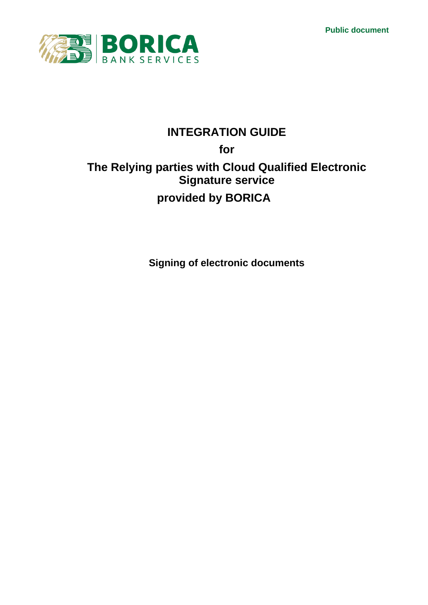**Public document**



# **INTEGRATION GUIDE**

# **for The Relying parties with Cloud Qualified Electronic Signature service provided by BORICA**

**Signing of electronic documents**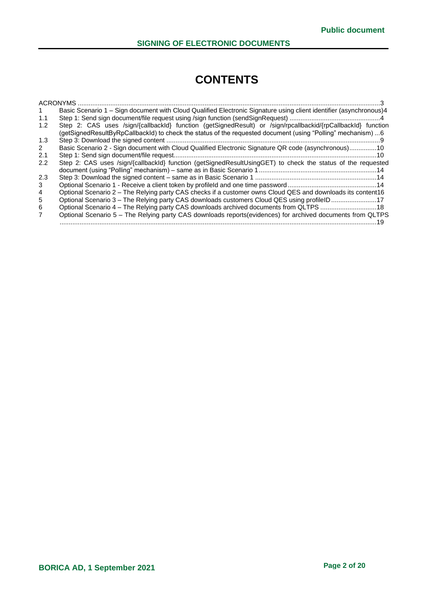# **CONTENTS**

|     | ACRONYMS                                                                                                           |
|-----|--------------------------------------------------------------------------------------------------------------------|
|     | Basic Scenario 1 - Sign document with Cloud Qualified Electronic Signature using client identifier (asynchronous)4 |
| 1.1 |                                                                                                                    |
| 1.2 | Step 2: CAS uses /sign/{callbackId} function (getSignedResult) or /sign/rpcallbackid/{rpCallbackId} function       |
|     | (getSignedResultByRpCallbackId) to check the status of the requested document (using "Polling" mechanism) 6        |
| 1.3 |                                                                                                                    |
| 2   | Basic Scenario 2 - Sign document with Cloud Qualified Electronic Signature QR code (asynchronous)10                |
| 2.1 |                                                                                                                    |
| 2.2 | Step 2: CAS uses /sign/{callbackId} function (getSignedResultUsingGET) to check the status of the requested        |
|     |                                                                                                                    |
| 2.3 |                                                                                                                    |
| 3   |                                                                                                                    |
| 4   | Optional Scenario 2 – The Relying party CAS checks if a customer owns Cloud QES and downloads its content16        |
| 5   | Optional Scenario 3 – The Relying party CAS downloads customers Cloud QES using profile ID 17                      |
| 6   | Optional Scenario 4 - The Relying party CAS downloads archived documents from QLTPS 18                             |
|     | Optional Scenario 5 - The Relying party CAS downloads reports(evidences) for archived documents from QLTPS         |
|     |                                                                                                                    |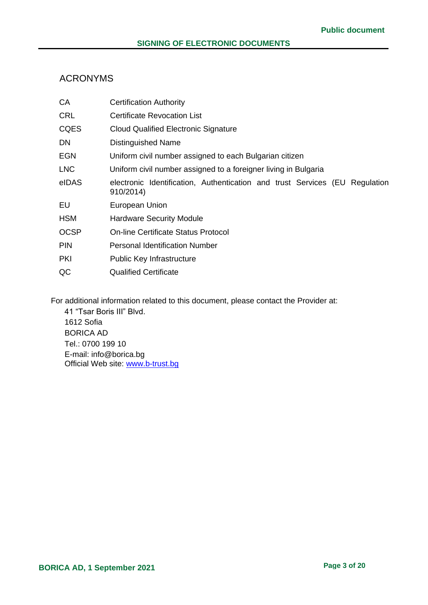## <span id="page-2-0"></span>ACRONYMS

| <b>Certification Authority</b>                                                              |  |  |
|---------------------------------------------------------------------------------------------|--|--|
| <b>Certificate Revocation List</b>                                                          |  |  |
| <b>Cloud Qualified Electronic Signature</b>                                                 |  |  |
| <b>Distinguished Name</b>                                                                   |  |  |
| Uniform civil number assigned to each Bulgarian citizen                                     |  |  |
| Uniform civil number assigned to a foreigner living in Bulgaria                             |  |  |
| electronic Identification, Authentication and trust Services (EU<br>Regulation<br>910/2014) |  |  |
| European Union                                                                              |  |  |
| <b>Hardware Security Module</b>                                                             |  |  |
| <b>On-line Certificate Status Protocol</b>                                                  |  |  |
| <b>Personal Identification Number</b>                                                       |  |  |
| <b>Public Key Infrastructure</b>                                                            |  |  |
| <b>Qualified Certificate</b>                                                                |  |  |
|                                                                                             |  |  |

For additional information related to this document, please contact the Provider at:

41 "Tsar Boris III" Blvd. 1612 Sofia BORICA AD Tel.: 0700 199 10 E-mail: info@borica.bg Official Web site: www.b-trust.bg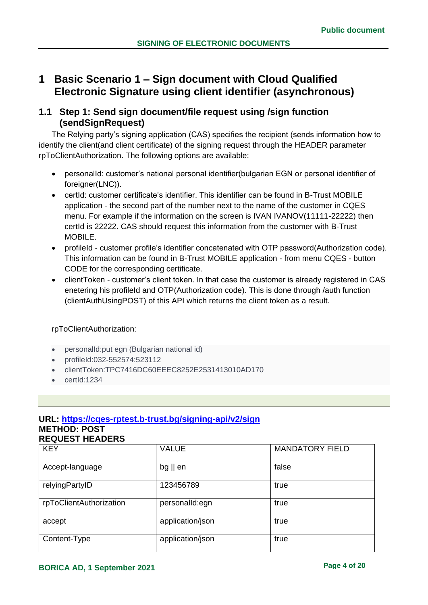## <span id="page-3-0"></span>**1 Basic Scenario 1 – Sign document with Cloud Qualified Electronic Signature using client identifier (asynchronous)**

## <span id="page-3-1"></span>**1.1 Step 1: Send sign document/file request using /sign function (sendSignRequest)**

The Relying party's signing application (CAS) specifies the recipient (sends information how to identify the client(and client certificate) of the signing request through the HEADER parameter rpToClientAuthorization. The following options are available:

- personalId: customer's national personal identifier(bulgarian EGN or personal identifier of foreigner(LNC)).
- certId: customer certificate's identifier. This identifier can be found in B-Trust MOBILE application - the second part of the number next to the name of the customer in CQES menu. For example if the information on the screen is IVAN IVANOV(11111-22222) then certId is 22222. CAS should request this information from the customer with B-Trust MOBILE.
- profileId customer profile's identifier concatenated with OTP password(Authorization code). This information can be found in B-Trust MOBILE application - from menu CQES - button CODE for the corresponding certificate.
- clientToken customer's client token. In that case the customer is already registered in CAS enetering his profileId and OTP(Authorization code). This is done through /auth function (clientAuthUsingPOST) of this API which returns the client token as a result.

#### rpToClientAuthorization:

- personalId:put egn (Bulgarian national id)
- profileId:032-552574:523112
- clientToken:TPC7416DC60EEEC8252E2531413010AD170
- certId:1234

#### **URL: [https://cqes-rptest.b-trust.bg/signing-api/v2/sign](https://cqes-api.dev.srv/signing-api/v2/sign) METHOD: POST REQUEST HEADERS**

| <b>KEY</b>              | <b>VALUE</b>      | <b>MANDATORY FIELD</b> |
|-------------------------|-------------------|------------------------|
| Accept-language         | $bg \parallel en$ | false                  |
| relyingPartyID          | 123456789         | true                   |
| rpToClientAuthorization | personalId:egn    | true                   |
| accept                  | application/json  | true                   |
| Content-Type            | application/json  | true                   |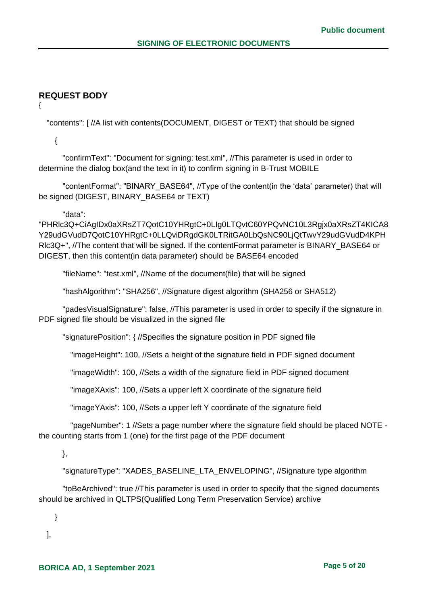## **REQUEST BODY**

{

"contents": [ //A list with contents(DOCUMENT, DIGEST or TEXT) that should be signed

{

 "confirmText": "Document for signing: test.xml", //This parameter is used in order to determine the dialog box(and the text in it) to confirm signing in B-Trust MOBILE

 "contentFormat": "BINARY\_BASE64", //Type of the content(in the 'data' parameter) that will be signed (DIGEST, BINARY\_BASE64 or TEXT)

"data":

"PHRlc3Q+CiAgIDx0aXRsZT7QotC10YHRgtC+0LIg0LTQvtC60YPQvNC10L3Rgjx0aXRsZT4KICA8 Y29udGVudD7QotC10YHRgtC+0LLQviDRgdGK0LTRitGA0LbQsNC90LjQtTwvY29udGVudD4KPH Rlc3Q+", //The content that will be signed. If the contentFormat parameter is BINARY\_BASE64 or DIGEST, then this content(in data parameter) should be BASE64 encoded

"fileName": "test.xml", //Name of the document(file) that will be signed

"hashAlgorithm": "SHA256", //Signature digest algorithm (SHA256 or SHA512)

 "padesVisualSignature": false, //This parameter is used in order to specify if the signature in PDF signed file should be visualized in the signed file

"signaturePosition": { //Specifies the signature position in PDF signed file

"imageHeight": 100, //Sets a height of the signature field in PDF signed document

"imageWidth": 100, //Sets a width of the signature field in PDF signed document

"imageXAxis": 100, //Sets a upper left X coordinate of the signature field

"imageYAxis": 100, //Sets a upper left Y coordinate of the signature field

 "pageNumber": 1 //Sets a page number where the signature field should be placed NOTE the counting starts from 1 (one) for the first page of the PDF document

},

"signatureType": "XADES\_BASELINE\_LTA\_ENVELOPING", //Signature type algorithm

 "toBeArchived": true //This parameter is used in order to specify that the signed documents should be archived in QLTPS(Qualified Long Term Preservation Service) archive

}

],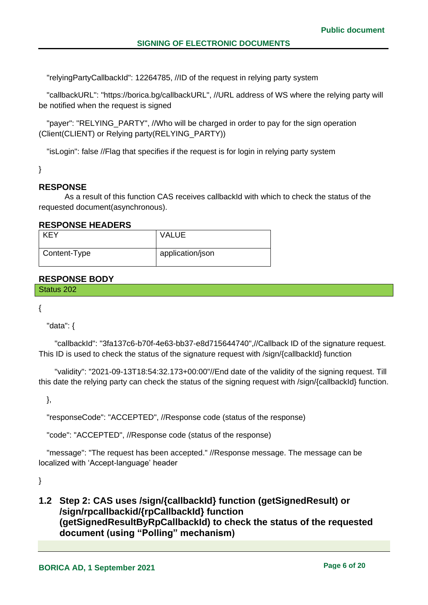"relyingPartyCallbackId": 12264785, //ID of the request in relying party system

 "callbackURL": "https://borica.bg/callbackURL", //URL address of WS where the relying party will be notified when the request is signed

 "payer": "RELYING\_PARTY", //Who will be charged in order to pay for the sign operation (Client(CLIENT) or Relying party(RELYING\_PARTY))

"isLogin": false //Flag that specifies if the request is for login in relying party system

}

## **RESPONSE**

As a result of this function CAS receives callbackId with which to check the status of the requested document(asynchronous).

#### **RESPONSE HEADERS**

| <b>KEY</b>   | <b>VALUE</b>     |
|--------------|------------------|
| Content-Type | application/json |

## **RESPONSE BODY**

Status 202

{

"data": {

 "callbackId": "3fa137c6-b70f-4e63-bb37-e8d715644740",//Callback ID of the signature request. This ID is used to check the status of the signature request with /sign/{callbackId} function

 "validity": "2021-09-13T18:54:32.173+00:00"//End date of the validity of the signing request. Till this date the relying party can check the status of the signing request with /sign/{callbackId} function.

},

"responseCode": "ACCEPTED", //Response code (status of the response)

"code": "ACCEPTED", //Response code (status of the response)

 "message": "The request has been accepted." //Response message. The message can be localized with 'Accept-language' header

}

## <span id="page-5-0"></span>**1.2 Step 2: CAS uses /sign/{callbackId} function (getSignedResult) or /sign/rpcallbackid/{rpCallbackId} function (getSignedResultByRpCallbackId) to check the status of the requested document (using "Polling" mechanism)**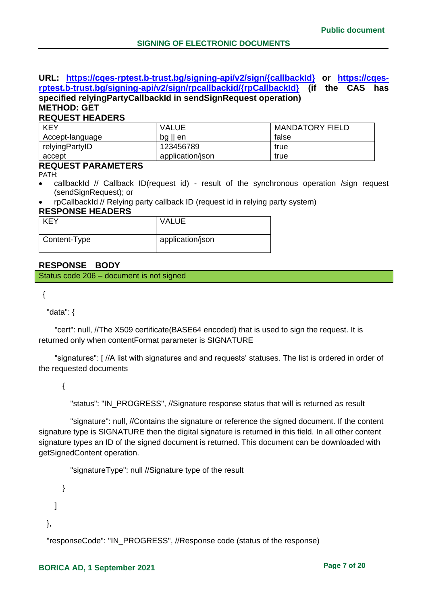#### **URL: [https://cqes-rptest.b-trust.bg/signing-api/v2/sign/{callbackId}](https://cqes-rptest.b-trust.bg/signing-api/v2/sign/%7bcallbackId%7d) or [https://cqes](https://cqes-rptest.b-trust.bg/signing-api/v2/sign/rpcallbackid/%7brpCallbackId%7d)[rptest.b-trust.bg/signing-api/v2/sign/rpcallbackid/{rpCallbackId}](https://cqes-rptest.b-trust.bg/signing-api/v2/sign/rpcallbackid/%7brpCallbackId%7d) (if the CAS has specified relyingPartyCallbackId in sendSignRequest operation) METHOD: GET**

## **REQUEST HEADERS**

| <b>KEY</b>      | <b>VALUE</b>      | <b>MANDATORY FIELD</b> |
|-----------------|-------------------|------------------------|
| Accept-language | $bg \parallel en$ | false                  |
| relyingPartyID  | 123456789         | true                   |
| accept          | application/json  | true                   |

#### **REQUEST PARAMETERS**

PATH:

- callbackId // Callback ID(request id) result of the synchronous operation /sign request (sendSignRequest); or
- rpCallbackId // Relying party callback ID (request id in relying party system)

#### **RESPONSE HEADERS**

| <b>KEY</b>   | <b>VALUE</b>     |
|--------------|------------------|
| Content-Type | application/json |

#### **RESPONSE BODY**

Status code 206 – document is not signed

```
{
```
"data": {

 "cert": null, //The X509 certificate(BASE64 encoded) that is used to sign the request. It is returned only when contentFormat parameter is SIGNATURE

 "signatures": [ //A list with signatures and and requests' statuses. The list is ordered in order of the requested documents

{

"status": "IN\_PROGRESS", //Signature response status that will is returned as result

 "signature": null, //Contains the signature or reference the signed document. If the content signature type is SIGNATURE then the digital signature is returned in this field. In all other content signature types an ID of the signed document is returned. This document can be downloaded with getSignedContent operation.

"signatureType": null //Signature type of the result

```
 }
     ]
},
```
"responseCode": "IN\_PROGRESS", //Response code (status of the response)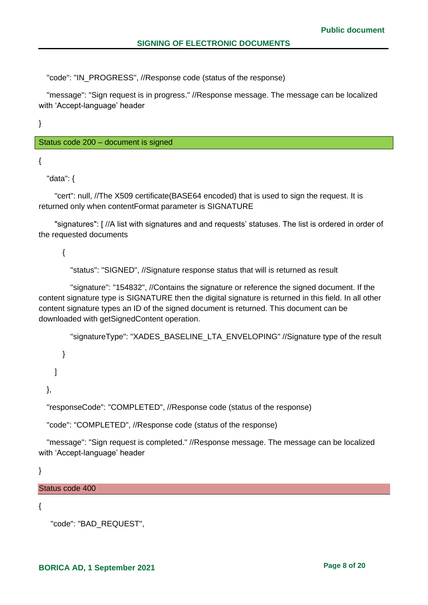"code": "IN\_PROGRESS", //Response code (status of the response)

 "message": "Sign request is in progress." //Response message. The message can be localized with 'Accept-language' header

}

Status code 200 – document is signed

{

"data": {

 "cert": null, //The X509 certificate(BASE64 encoded) that is used to sign the request. It is returned only when contentFormat parameter is SIGNATURE

 "signatures": [ //A list with signatures and and requests' statuses. The list is ordered in order of the requested documents

{

"status": "SIGNED", //Signature response status that will is returned as result

 "signature": "154832", //Contains the signature or reference the signed document. If the content signature type is SIGNATURE then the digital signature is returned in this field. In all other content signature types an ID of the signed document is returned. This document can be downloaded with getSignedContent operation.

"signatureType": "XADES\_BASELINE\_LTA\_ENVELOPING" //Signature type of the result

 } ]

},

"responseCode": "COMPLETED", //Response code (status of the response)

"code": "COMPLETED", //Response code (status of the response)

 "message": "Sign request is completed." //Response message. The message can be localized with 'Accept-language' header

}

Status code 400

{

"code": "BAD\_REQUEST",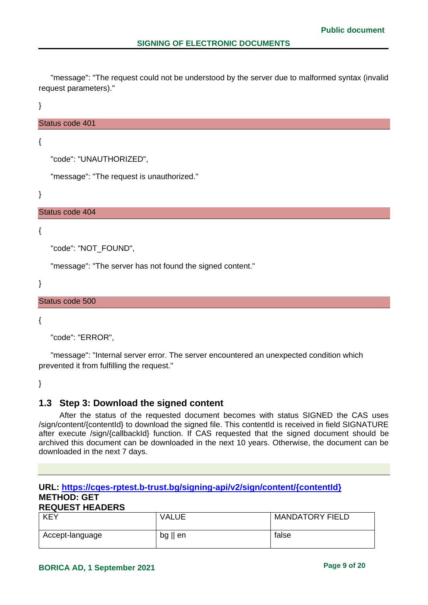"message": "The request could not be understood by the server due to malformed syntax (invalid request parameters)."

}

#### Status code 401

{

```
 "code": "UNAUTHORIZED",
```
"message": "The request is unauthorized."

}

#### Status code 404

{

"code": "NOT\_FOUND",

"message": "The server has not found the signed content."

}

#### Status code 500

{

"code": "ERROR",

 "message": "Internal server error. The server encountered an unexpected condition which prevented it from fulfilling the request."

}

## <span id="page-8-0"></span>**1.3 Step 3: Download the signed content**

After the status of the requested document becomes with status SIGNED the CAS uses /sign/content/{contentId} to download the signed file. This contentId is received in field SIGNATURE after execute /sign/{callbackId} function. If CAS requested that the signed document should be archived this document can be downloaded in the next 10 years. Otherwise, the document can be downloaded in the next 7 days.

## **URL: [https://cqes-rptest.b-trust.bg/signing-api/v2/sign/content/{contentId}](https://cqes-api.dev.srv/signing-api/v2/sign/content/%7bcontentId%7d) METHOD: GET**

#### **REQUEST HEADERS**

| <b>KEY</b>      | VALUE             | <b>MANDATORY FIELD</b> |
|-----------------|-------------------|------------------------|
| Accept-language | $bg \parallel en$ | false                  |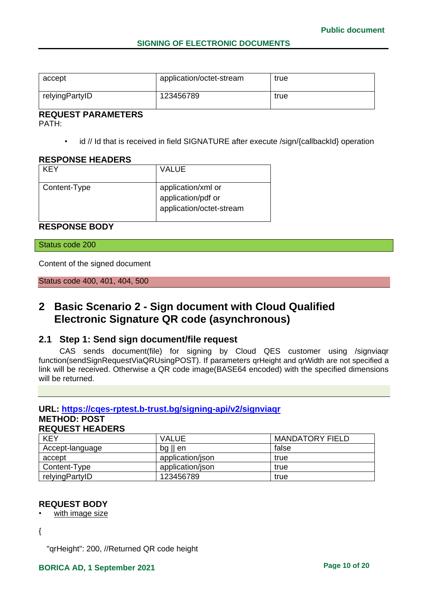| accept         | application/octet-stream | true |
|----------------|--------------------------|------|
| relyingPartyID | 123456789                | true |

# **REQUEST PARAMETERS**

PATH:

• id // Id that is received in field SIGNATURE after execute /sign/{callbackId} operation

#### **RESPONSE HEADERS**

| KFY          | VALUE                                                                |
|--------------|----------------------------------------------------------------------|
| Content-Type | application/xml or<br>application/pdf or<br>application/octet-stream |

### **RESPONSE BODY**

Status code 200

Content of the signed document

Status code 400, 401, 404, 500

## <span id="page-9-0"></span>**2 Basic Scenario 2 - Sign document with Cloud Qualified Electronic Signature QR code (asynchronous)**

## <span id="page-9-1"></span>**2.1 Step 1: Send sign document/file request**

CAS sends document(file) for signing by Cloud QES customer using /signviaqr function(sendSignRequestViaQRUsingPOST). If parameters qrHeight and qrWidth are not specified a link will be received. Otherwise a QR code image(BASE64 encoded) with the specified dimensions will be returned.

## **URL: [https://cqes-rptest.b-trust.bg/signing-api/v2/signviaqr](https://cqes-api.dev.srv/signing-api/v2/)**

### **METHOD: POST**

| <b>REQUEST HEADERS</b> |  |
|------------------------|--|
|------------------------|--|

| <b>KEY</b>      | <b>VALUE</b>      | <b>MANDATORY FIELD</b> |
|-----------------|-------------------|------------------------|
| Accept-language | $bg \parallel en$ | false                  |
| accept          | application/json  | true                   |
| Content-Type    | application/json  | true                   |
| relyingPartyID  | 123456789         | true                   |

#### **REQUEST BODY**

with image size

{

"qrHeight": 200, //Returned QR code height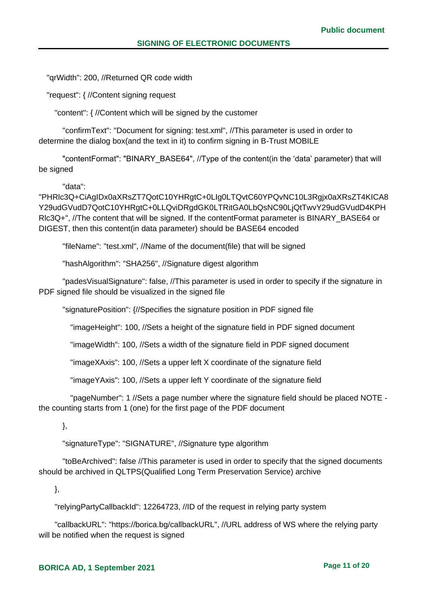"qrWidth": 200, //Returned QR code width

"request": { //Content signing request

"content": { //Content which will be signed by the customer

 "confirmText": "Document for signing: test.xml", //This parameter is used in order to determine the dialog box(and the text in it) to confirm signing in B-Trust MOBILE

 "contentFormat": "BINARY\_BASE64", //Type of the content(in the 'data' parameter) that will be signed

"data":

"PHRlc3Q+CiAgIDx0aXRsZT7QotC10YHRgtC+0LIg0LTQvtC60YPQvNC10L3Rgjx0aXRsZT4KICA8 Y29udGVudD7QotC10YHRgtC+0LLQviDRgdGK0LTRitGA0LbQsNC90LjQtTwvY29udGVudD4KPH Rlc3Q+", //The content that will be signed. If the contentFormat parameter is BINARY\_BASE64 or DIGEST, then this content(in data parameter) should be BASE64 encoded

"fileName": "test.xml", //Name of the document(file) that will be signed

"hashAlgorithm": "SHA256", //Signature digest algorithm

 "padesVisualSignature": false, //This parameter is used in order to specify if the signature in PDF signed file should be visualized in the signed file

"signaturePosition": {//Specifies the signature position in PDF signed file

"imageHeight": 100, //Sets a height of the signature field in PDF signed document

"imageWidth": 100, //Sets a width of the signature field in PDF signed document

"imageXAxis": 100, //Sets a upper left X coordinate of the signature field

"imageYAxis": 100, //Sets a upper left Y coordinate of the signature field

 "pageNumber": 1 //Sets a page number where the signature field should be placed NOTE the counting starts from 1 (one) for the first page of the PDF document

},

"signatureType": "SIGNATURE", //Signature type algorithm

 "toBeArchived": false //This parameter is used in order to specify that the signed documents should be archived in QLTPS(Qualified Long Term Preservation Service) archive

},

"relyingPartyCallbackId": 12264723, //ID of the request in relying party system

 "callbackURL": "https://borica.bg/callbackURL", //URL address of WS where the relying party will be notified when the request is signed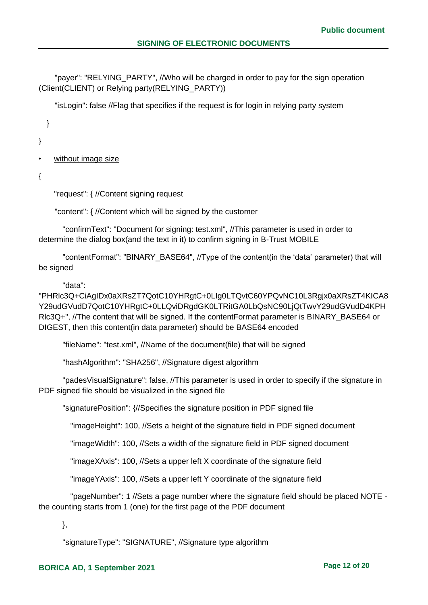"payer": "RELYING\_PARTY", //Who will be charged in order to pay for the sign operation (Client(CLIENT) or Relying party(RELYING\_PARTY))

"isLogin": false //Flag that specifies if the request is for login in relying party system

}

}

without image size

{

"request": { //Content signing request

"content": { //Content which will be signed by the customer

 "confirmText": "Document for signing: test.xml", //This parameter is used in order to determine the dialog box(and the text in it) to confirm signing in B-Trust MOBILE

 "contentFormat": "BINARY\_BASE64", //Type of the content(in the 'data' parameter) that will be signed

#### "data":

"PHRlc3Q+CiAgIDx0aXRsZT7QotC10YHRgtC+0LIg0LTQvtC60YPQvNC10L3Rgjx0aXRsZT4KICA8 Y29udGVudD7QotC10YHRgtC+0LLQviDRgdGK0LTRitGA0LbQsNC90LjQtTwvY29udGVudD4KPH Rlc3Q+", //The content that will be signed. If the contentFormat parameter is BINARY\_BASE64 or DIGEST, then this content(in data parameter) should be BASE64 encoded

"fileName": "test.xml", //Name of the document(file) that will be signed

"hashAlgorithm": "SHA256", //Signature digest algorithm

 "padesVisualSignature": false, //This parameter is used in order to specify if the signature in PDF signed file should be visualized in the signed file

"signaturePosition": {//Specifies the signature position in PDF signed file

"imageHeight": 100, //Sets a height of the signature field in PDF signed document

"imageWidth": 100, //Sets a width of the signature field in PDF signed document

"imageXAxis": 100, //Sets a upper left X coordinate of the signature field

"imageYAxis": 100, //Sets a upper left Y coordinate of the signature field

 "pageNumber": 1 //Sets a page number where the signature field should be placed NOTE the counting starts from 1 (one) for the first page of the PDF document

},

"signatureType": "SIGNATURE", //Signature type algorithm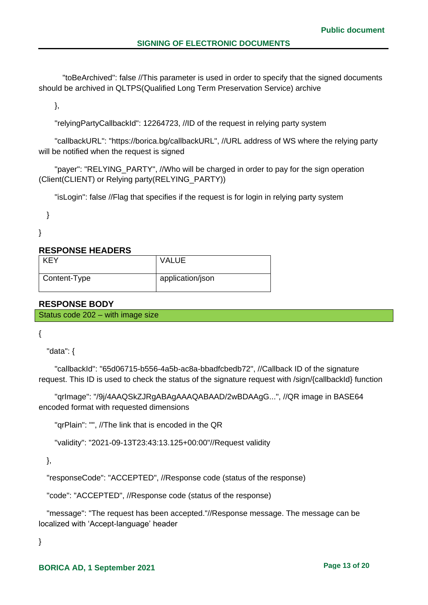"toBeArchived": false //This parameter is used in order to specify that the signed documents should be archived in QLTPS(Qualified Long Term Preservation Service) archive

},

"relyingPartyCallbackId": 12264723, //ID of the request in relying party system

 "callbackURL": "https://borica.bg/callbackURL", //URL address of WS where the relying party will be notified when the request is signed

"payer": "RELYING PARTY", //Who will be charged in order to pay for the sign operation (Client(CLIENT) or Relying party(RELYING\_PARTY))

"isLogin": false //Flag that specifies if the request is for login in relying party system

}

}

#### **RESPONSE HEADERS**

| <b>KEY</b>   | <b>VALUE</b>     |
|--------------|------------------|
| Content-Type | application/json |

### **RESPONSE BODY**

Status code 202 – with image size

{

"data": {

 "callbackId": "65d06715-b556-4a5b-ac8a-bbadfcbedb72", //Callback ID of the signature request. This ID is used to check the status of the signature request with /sign/{callbackId} function

 "qrImage": "/9j/4AAQSkZJRgABAgAAAQABAAD/2wBDAAgG...", //QR image in BASE64 encoded format with requested dimensions

"qrPlain": "", //The link that is encoded in the QR

"validity": "2021-09-13T23:43:13.125+00:00"//Request validity

},

"responseCode": "ACCEPTED", //Response code (status of the response)

"code": "ACCEPTED", //Response code (status of the response)

 "message": "The request has been accepted."//Response message. The message can be localized with 'Accept-language' header

}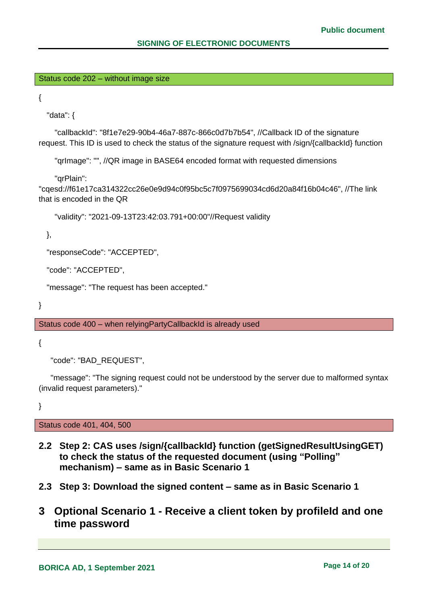Status code 202 – without image size

{

"data": {

 "callbackId": "8f1e7e29-90b4-46a7-887c-866c0d7b7b54", //Callback ID of the signature request. This ID is used to check the status of the signature request with /sign/{callbackId} function

"qrImage": "", //QR image in BASE64 encoded format with requested dimensions

"qrPlain":

"cqesd://f61e17ca314322cc26e0e9d94c0f95bc5c7f0975699034cd6d20a84f16b04c46", //The link that is encoded in the QR

"validity": "2021-09-13T23:42:03.791+00:00"//Request validity

},

"responseCode": "ACCEPTED",

"code": "ACCEPTED",

"message": "The request has been accepted."

}

Status code 400 – when relyingPartyCallbackId is already used

{

"code": "BAD\_REQUEST",

 "message": "The signing request could not be understood by the server due to malformed syntax (invalid request parameters)."

}

Status code 401, 404, 500

- <span id="page-13-0"></span>**2.2 Step 2: CAS uses /sign/{callbackId} function (getSignedResultUsingGET) to check the status of the requested document (using "Polling" mechanism) – same as in Basic Scenario 1**
- <span id="page-13-2"></span><span id="page-13-1"></span>**2.3 Step 3: Download the signed content – same as in Basic Scenario 1**
- **3 Optional Scenario 1 - Receive a client token by profileId and one time password**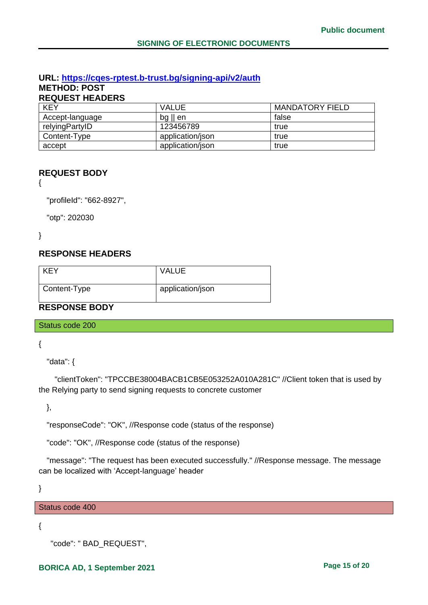#### **URL: [https://cqes-rptest.b-trust.bg/signing-api/v2/a](https://cqes-api.dev.srv/signing-api/v2/)uth METHOD: POST**

**REQUEST HEADERS**

| <b>KEY</b>      | <b>VALUE</b>      | <b>MANDATORY FIELD</b> |
|-----------------|-------------------|------------------------|
| Accept-language | $bg \parallel en$ | false                  |
| relyingPartyID  | 123456789         | true                   |
| Content-Type    | application/json  | true                   |
| accept          | application/json  | true                   |

## **REQUEST BODY**

{

"profileId": "662-8927",

"otp": 202030

}

## **RESPONSE HEADERS**

| <b>KEY</b>   | <b>VALUE</b>     |
|--------------|------------------|
| Content-Type | application/json |

## **RESPONSE BODY**

Status code 200

{

"data": {

 "clientToken": "TPCCBE38004BACB1CB5E053252A010A281C" //Client token that is used by the Relying party to send signing requests to concrete customer

},

"responseCode": "OK", //Response code (status of the response)

"code": "OK", //Response code (status of the response)

 "message": "The request has been executed successfully." //Response message. The message can be localized with 'Accept-language' header

}

Status code 400

{

```
 "code": " BAD_REQUEST",
```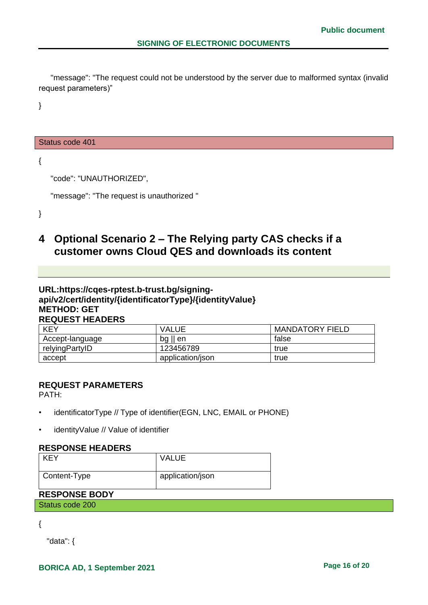"message": "The request could not be understood by the server due to malformed syntax (invalid request parameters)"

}

#### Status code 401

{

"code": "UNAUTHORIZED",

```
 "message": "The request is unauthorized "
```
}

## <span id="page-15-0"></span>**4 Optional Scenario 2 – The Relying party CAS checks if a customer owns Cloud QES and downloads its content**

## **URL[:https://cqes-rptest.b-trust.bg/signing](https://cqes-api.dev.srv/signing-api/v2/)[api/v2/c](https://cqes-api.dev.srv/signing-api/v2/)ert/identity/{identificatorType}/{identityValue} METHOD: GET REQUEST HEADERS**

| <b>KEY</b>      | VALUE            | <b>MANDATORY FIELD</b> |
|-----------------|------------------|------------------------|
| Accept-language | $log$   <br>' en | false                  |
| relyingPartyID  | 123456789        | true                   |
| accept          | application/json | true                   |

#### **REQUEST PARAMETERS**

PATH:

- identificatorType // Type of identifier(EGN, LNC, EMAIL or PHONE)
- identityValue // Value of identifier

### **RESPONSE HEADERS**

| <b>KEY</b>   | <b>VALUE</b>     |
|--------------|------------------|
| Content-Type | application/json |

## **RESPONSE BODY**

Status code 200

{

"data": {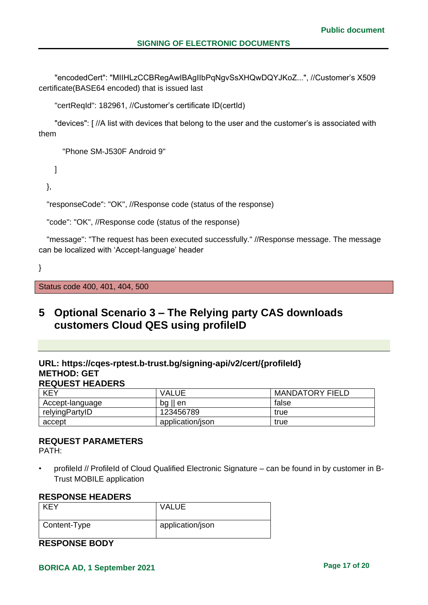"encodedCert": "MIIHLzCCBRegAwIBAgIIbPqNgvSsXHQwDQYJKoZ...", //Customer's X509 certificate(BASE64 encoded) that is issued last

"certReqId": 182961, //Customer's certificate ID(certId)

 "devices": [ //A list with devices that belong to the user and the customer's is associated with them

"Phone SM-J530F Android 9"

]

},

"responseCode": "OK", //Response code (status of the response)

"code": "OK", //Response code (status of the response)

"message": "The request has been executed successfully." //Response message. The message can be localized with 'Accept-language' header

}

Status code 400, 401, 404, 500

## <span id="page-16-0"></span>**5 Optional Scenario 3 – The Relying party CAS downloads customers Cloud QES using profileID**

#### **URL: https://cqes-rptest.b-trust.bg/signing-api/v2/cert/{profileId} METHOD: GET REQUEST HEADERS**

| <b>KEY</b>      | VALUE             | <b>MANDATORY FIELD</b> |
|-----------------|-------------------|------------------------|
| Accept-language | $bg \parallel en$ | false                  |
| relyingPartyID  | 123456789         | true                   |
| accept          | application/json  | true                   |

#### **REQUEST PARAMETERS**

PATH:

• profileId // ProfileId of Cloud Qualified Electronic Signature – can be found in by customer in B-Trust MOBILE application

#### **RESPONSE HEADERS**

| KEY          | <b>VALUE</b>     |
|--------------|------------------|
| Content-Type | application/json |

**RESPONSE BODY**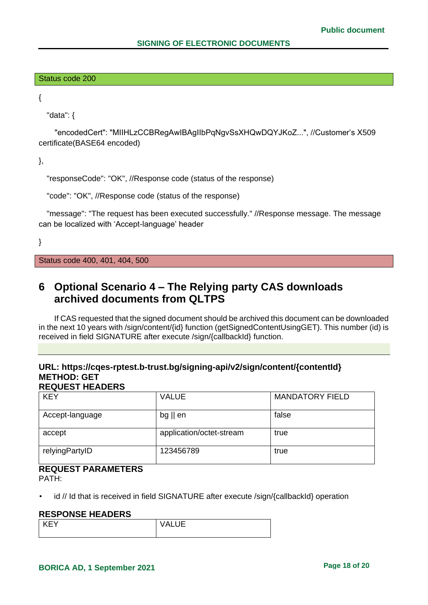#### Status code 200

{

"data": {

 "encodedCert": "MIIHLzCCBRegAwIBAgIIbPqNgvSsXHQwDQYJKoZ...", //Customer's X509 certificate(BASE64 encoded)

},

```
"responseCode": "OK", //Response code (status of the response)
```

```
"code": "OK", //Response code (status of the response)
```
"message": "The request has been executed successfully." //Response message. The message can be localized with 'Accept-language' header

}

Status code 400, 401, 404, 500

## <span id="page-17-0"></span>**6 Optional Scenario 4 – The Relying party CAS downloads archived documents from QLTPS**

If CAS requested that the signed document should be archived this document can be downloaded in the next 10 years with /sign/content/{id} function (getSignedContentUsingGET). This number (id) is received in field SIGNATURE after execute /sign/{callbackId} function.

#### **URL: [https://cqes-rptest.b-trust.bg/signing-api/v2/sign/content/{contentId}](https://cqes-api.dev.srv/signing-api/v2/sign/content/%7bcontentId%7d) METHOD: GET REQUEST HEADERS**

| <b>KEY</b>      | <b>VALUE</b>             | <b>MANDATORY FIELD</b> |
|-----------------|--------------------------|------------------------|
| Accept-language | $bg \parallel en$        | false                  |
| accept          | application/octet-stream | true                   |
| relyingPartyID  | 123456789                | true                   |

## **REQUEST PARAMETERS**

PATH:

• id // Id that is received in field SIGNATURE after execute /sign/{callbackId} operation

#### **RESPONSE HEADERS**

| ⊢ KEV | <b>VALUE</b> |
|-------|--------------|
|       |              |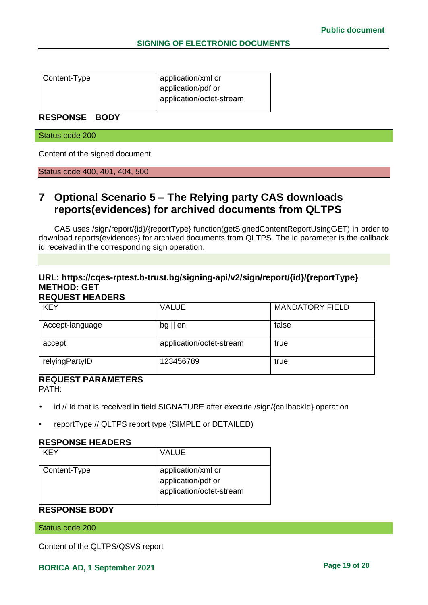| Content-Type | application/xml or       |
|--------------|--------------------------|
|              | application/pdf or       |
|              | application/octet-stream |
|              |                          |

## **RESPONSE BODY**

Status code 200

Content of the signed document

Status code 400, 401, 404, 500

## <span id="page-18-0"></span>**7 Optional Scenario 5 – The Relying party CAS downloads reports(evidences) for archived documents from QLTPS**

CAS uses /sign/report/{id}/{reportType} function(getSignedContentReportUsingGET) in order to download reports(evidences) for archived documents from QLTPS. The id parameter is the callback id received in the corresponding sign operation.

#### **URL: [https://cqes-rptest.b-trust.bg/signing-api/v2/sign/report/{id}/{reportType}](https://cqes-rptest.b-trust.bg/signing-api/v2/sign/report/%7bid%7d/%7breportType%7d) METHOD: GET REQUEST HEADERS**

| <b>KEY</b>      | <b>VALUE</b>             | <b>MANDATORY FIELD</b> |
|-----------------|--------------------------|------------------------|
| Accept-language | $bg \parallel en$        | false                  |
| accept          | application/octet-stream | true                   |
| relyingPartyID  | 123456789                | true                   |

## **REQUEST PARAMETERS**

PATH:

- id // Id that is received in field SIGNATURE after execute /sign/{callbackId} operation
- reportType // QLTPS report type (SIMPLE or DETAILED)

#### **RESPONSE HEADERS**

| KFY          | <b>VALUE</b>                                                         |
|--------------|----------------------------------------------------------------------|
| Content-Type | application/xml or<br>application/pdf or<br>application/octet-stream |

## **RESPONSE BODY**

Status code 200

Content of the QLTPS/QSVS report